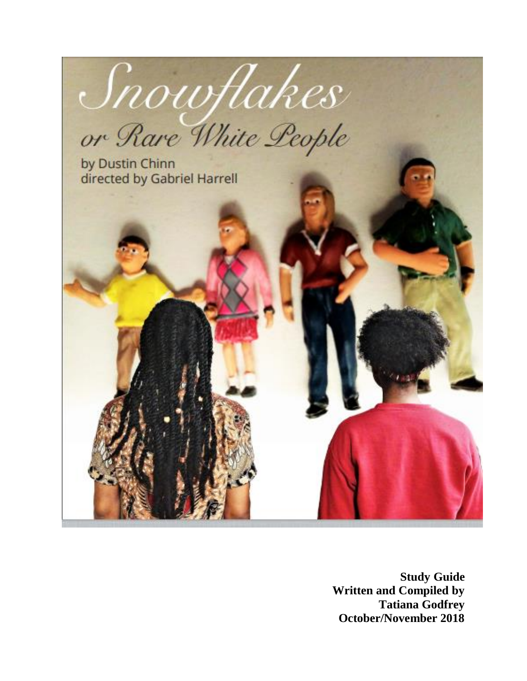

**Study Guide Written and Compiled by Tatiana Godfrey October/November 2018**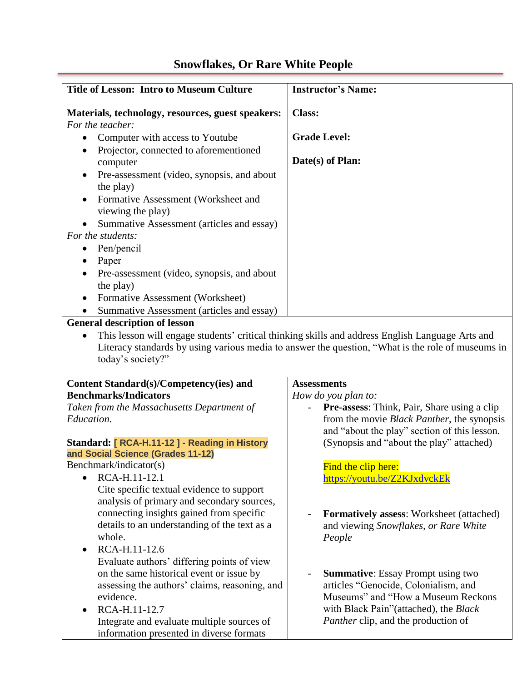| <b>Title of Lesson: Intro to Museum Culture</b>                                     | <b>Instructor's Name:</b>                                                                                                                                                                             |
|-------------------------------------------------------------------------------------|-------------------------------------------------------------------------------------------------------------------------------------------------------------------------------------------------------|
|                                                                                     |                                                                                                                                                                                                       |
| Materials, technology, resources, guest speakers:<br>For the teacher:               | <b>Class:</b>                                                                                                                                                                                         |
| Computer with access to Youtube<br>$\bullet$                                        | <b>Grade Level:</b>                                                                                                                                                                                   |
| Projector, connected to aforementioned<br>computer                                  | Date(s) of Plan:                                                                                                                                                                                      |
| Pre-assessment (video, synopsis, and about<br>the play)                             |                                                                                                                                                                                                       |
| Formative Assessment (Worksheet and                                                 |                                                                                                                                                                                                       |
| viewing the play)<br>Summative Assessment (articles and essay)                      |                                                                                                                                                                                                       |
| For the students:                                                                   |                                                                                                                                                                                                       |
| Pen/pencil                                                                          |                                                                                                                                                                                                       |
| Paper<br>$\bullet$                                                                  |                                                                                                                                                                                                       |
| Pre-assessment (video, synopsis, and about                                          |                                                                                                                                                                                                       |
| the play)                                                                           |                                                                                                                                                                                                       |
| Formative Assessment (Worksheet)                                                    |                                                                                                                                                                                                       |
| Summative Assessment (articles and essay)                                           |                                                                                                                                                                                                       |
| <b>General description of lesson</b>                                                |                                                                                                                                                                                                       |
| today's society?"                                                                   | This lesson will engage students' critical thinking skills and address English Language Arts and<br>Literacy standards by using various media to answer the question, "What is the role of museums in |
|                                                                                     |                                                                                                                                                                                                       |
| Content Standard(s)/Competency(ies) and<br><b>Benchmarks/Indicators</b>             | <b>Assessments</b>                                                                                                                                                                                    |
| Taken from the Massachusetts Department of                                          | How do you plan to:<br>Pre-assess: Think, Pair, Share using a clip                                                                                                                                    |
| Education.                                                                          | from the movie <i>Black Panther</i> , the synopsis                                                                                                                                                    |
|                                                                                     | and "about the play" section of this lesson.                                                                                                                                                          |
| Standard: [ RCA-H.11-12 ] - Reading in History<br>and Social Science (Grades 11-12) | (Synopsis and "about the play" attached)                                                                                                                                                              |
| Benchmark/indicator(s)                                                              | Find the clip here:                                                                                                                                                                                   |
| RCA-H.11-12.1<br>$\bullet$                                                          | https://youtu.be/Z2KJxdvckEk                                                                                                                                                                          |
| Cite specific textual evidence to support                                           |                                                                                                                                                                                                       |
| analysis of primary and secondary sources,                                          |                                                                                                                                                                                                       |
| connecting insights gained from specific                                            | <b>Formatively assess:</b> Worksheet (attached)                                                                                                                                                       |
| details to an understanding of the text as a                                        | and viewing Snowflakes, or Rare White                                                                                                                                                                 |
| whole.                                                                              | People                                                                                                                                                                                                |
| RCA-H.11-12.6<br>$\bullet$                                                          |                                                                                                                                                                                                       |
| Evaluate authors' differing points of view                                          |                                                                                                                                                                                                       |
| on the same historical event or issue by                                            | <b>Summative:</b> Essay Prompt using two                                                                                                                                                              |
| assessing the authors' claims, reasoning, and<br>evidence.                          | articles "Genocide, Colonialism, and<br>Museums" and "How a Museum Reckons"                                                                                                                           |
| RCA-H.11-12.7                                                                       | with Black Pain"(attached), the Black                                                                                                                                                                 |
| Integrate and evaluate multiple sources of                                          | <i>Panther</i> clip, and the production of                                                                                                                                                            |
| information presented in diverse formats                                            |                                                                                                                                                                                                       |

## **Snowflakes, Or Rare White People**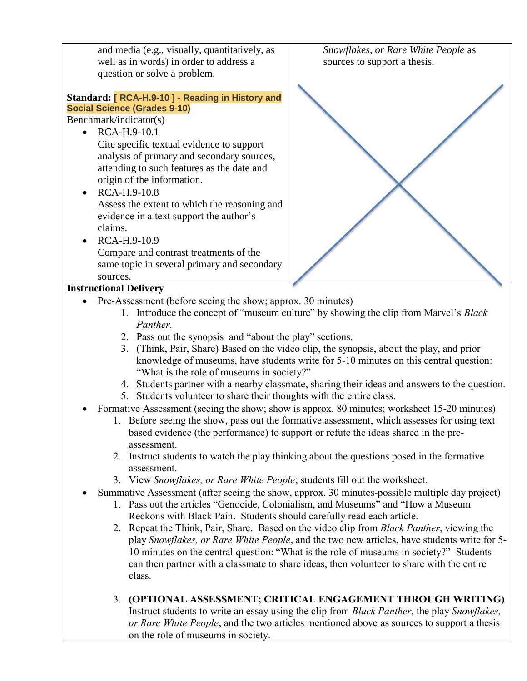| and media (e.g., visually, quantitatively, as                                                                                                                                     | Snowflakes, or Rare White People as                                                       |
|-----------------------------------------------------------------------------------------------------------------------------------------------------------------------------------|-------------------------------------------------------------------------------------------|
| well as in words) in order to address a                                                                                                                                           | sources to support a thesis.                                                              |
| question or solve a problem.                                                                                                                                                      |                                                                                           |
|                                                                                                                                                                                   |                                                                                           |
| Standard: [ RCA-H.9-10 ] - Reading in History and                                                                                                                                 |                                                                                           |
| <b>Social Science (Grades 9-10)</b>                                                                                                                                               |                                                                                           |
| Benchmark/indicator(s)                                                                                                                                                            |                                                                                           |
| RCA-H.9-10.1                                                                                                                                                                      |                                                                                           |
| Cite specific textual evidence to support                                                                                                                                         |                                                                                           |
| analysis of primary and secondary sources,                                                                                                                                        |                                                                                           |
|                                                                                                                                                                                   |                                                                                           |
| attending to such features as the date and                                                                                                                                        |                                                                                           |
| origin of the information.                                                                                                                                                        |                                                                                           |
| RCA-H.9-10.8                                                                                                                                                                      |                                                                                           |
| Assess the extent to which the reasoning and                                                                                                                                      |                                                                                           |
| evidence in a text support the author's                                                                                                                                           |                                                                                           |
| claims.                                                                                                                                                                           |                                                                                           |
| RCA-H.9-10.9                                                                                                                                                                      |                                                                                           |
| Compare and contrast treatments of the                                                                                                                                            |                                                                                           |
| same topic in several primary and secondary                                                                                                                                       |                                                                                           |
| sources.                                                                                                                                                                          |                                                                                           |
|                                                                                                                                                                                   |                                                                                           |
| <b>Instructional Delivery</b>                                                                                                                                                     |                                                                                           |
| Pre-Assessment (before seeing the show; approx. 30 minutes)                                                                                                                       |                                                                                           |
|                                                                                                                                                                                   | 1. Introduce the concept of "museum culture" by showing the clip from Marvel's Black      |
| Panther.                                                                                                                                                                          |                                                                                           |
| 2. Pass out the synopsis and "about the play" sections.                                                                                                                           |                                                                                           |
| 3. (Think, Pair, Share) Based on the video clip, the synopsis, about the play, and prior                                                                                          |                                                                                           |
| knowledge of museums, have students write for 5-10 minutes on this central question:                                                                                              |                                                                                           |
| "What is the role of museums in society?"                                                                                                                                         |                                                                                           |
| 4. Students partner with a nearby classmate, sharing their ideas and answers to the question.                                                                                     |                                                                                           |
| 5. Students volunteer to share their thoughts with the entire class.                                                                                                              |                                                                                           |
| Formative Assessment (seeing the show; show is approx. 80 minutes; worksheet 15-20 minutes)                                                                                       |                                                                                           |
|                                                                                                                                                                                   |                                                                                           |
| 1. Before seeing the show, pass out the formative assessment, which assesses for using text<br>based evidence (the performance) to support or refute the ideas shared in the pre- |                                                                                           |
|                                                                                                                                                                                   |                                                                                           |
| assessment.                                                                                                                                                                       |                                                                                           |
| 2. Instruct students to watch the play thinking about the questions posed in the formative                                                                                        |                                                                                           |
| assessment.                                                                                                                                                                       |                                                                                           |
| 3. View Snowflakes, or Rare White People; students fill out the worksheet.                                                                                                        |                                                                                           |
| Summative Assessment (after seeing the show, approx. 30 minutes-possible multiple day project)                                                                                    |                                                                                           |
| 1. Pass out the articles "Genocide, Colonialism, and Museums" and "How a Museum                                                                                                   |                                                                                           |
| Reckons with Black Pain. Students should carefully read each article.                                                                                                             |                                                                                           |
| 2. Repeat the Think, Pair, Share. Based on the video clip from Black Panther, viewing the                                                                                         |                                                                                           |
| play Snowflakes, or Rare White People, and the two new articles, have students write for 5-                                                                                       |                                                                                           |
| 10 minutes on the central question: "What is the role of museums in society?" Students                                                                                            |                                                                                           |
|                                                                                                                                                                                   |                                                                                           |
| can then partner with a classmate to share ideas, then volunteer to share with the entire                                                                                         |                                                                                           |
| class.                                                                                                                                                                            |                                                                                           |
|                                                                                                                                                                                   |                                                                                           |
| 3. (OPTIONAL ASSESSMENT; CRITICAL ENGAGEMENT THROUGH WRITING)                                                                                                                     |                                                                                           |
| Instruct students to write an essay using the clip from Black Panther, the play Snowflakes,                                                                                       |                                                                                           |
|                                                                                                                                                                                   | or Rare White People, and the two articles mentioned above as sources to support a thesis |
| on the role of museums in society.                                                                                                                                                |                                                                                           |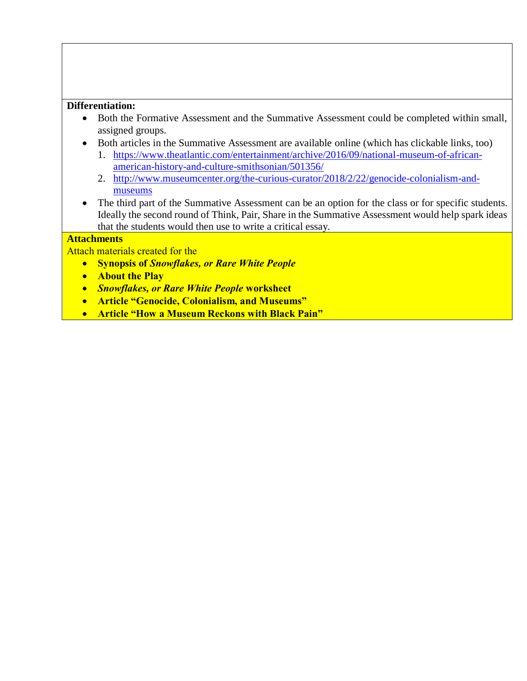#### **Differentiation:**

- Both the Formative Assessment and the Summative Assessment could be completed within small, assigned groups.
- Both articles in the Summative Assessment are available online (which has clickable links, too)
	- 1. [https://www.theatlantic.com/entertainment/archive/2016/09/national-museum-of-african](https://www.theatlantic.com/entertainment/archive/2016/09/national-museum-of-african-american-history-and-culture-smithsonian/501356/)[american-history-and-culture-smithsonian/501356/](https://www.theatlantic.com/entertainment/archive/2016/09/national-museum-of-african-american-history-and-culture-smithsonian/501356/)
	- 2. [http://www.museumcenter.org/the-curious-curator/2018/2/22/genocide-colonialism-and](http://www.museumcenter.org/the-curious-curator/2018/2/22/genocide-colonialism-and-museums)[museums](http://www.museumcenter.org/the-curious-curator/2018/2/22/genocide-colonialism-and-museums)
- The third part of the Summative Assessment can be an option for the class or for specific students. Ideally the second round of Think, Pair, Share in the Summative Assessment would help spark ideas that the students would then use to write a critical essay.

#### **Attachments**

Attach materials created for the

- **Synopsis of** *Snowflakes, or Rare White People*
- **About the Play**
- *Snowflakes, or Rare White People* **worksheet**
- **Article "Genocide, Colonialism, and Museums"**
- **Article "How a Museum Reckons with Black Pain"**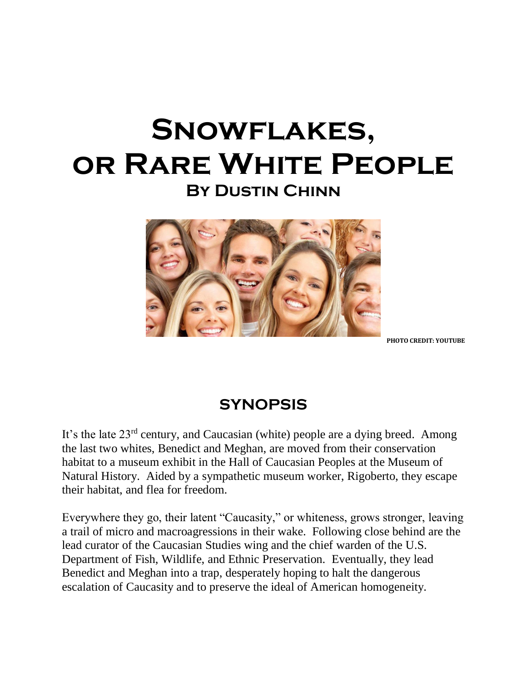# **Snowflakes, or Rare White People By Dustin Chinn**



**PHOTO CREDIT: YOUTUBE**

### **SYNOPSIS**

It's the late 23rd century, and Caucasian (white) people are a dying breed. Among the last two whites, Benedict and Meghan, are moved from their conservation habitat to a museum exhibit in the Hall of Caucasian Peoples at the Museum of Natural History. Aided by a sympathetic museum worker, Rigoberto, they escape their habitat, and flea for freedom.

Everywhere they go, their latent "Caucasity," or whiteness, grows stronger, leaving a trail of micro and macroagressions in their wake. Following close behind are the lead curator of the Caucasian Studies wing and the chief warden of the U.S. Department of Fish, Wildlife, and Ethnic Preservation. Eventually, they lead Benedict and Meghan into a trap, desperately hoping to halt the dangerous escalation of Caucasity and to preserve the ideal of American homogeneity.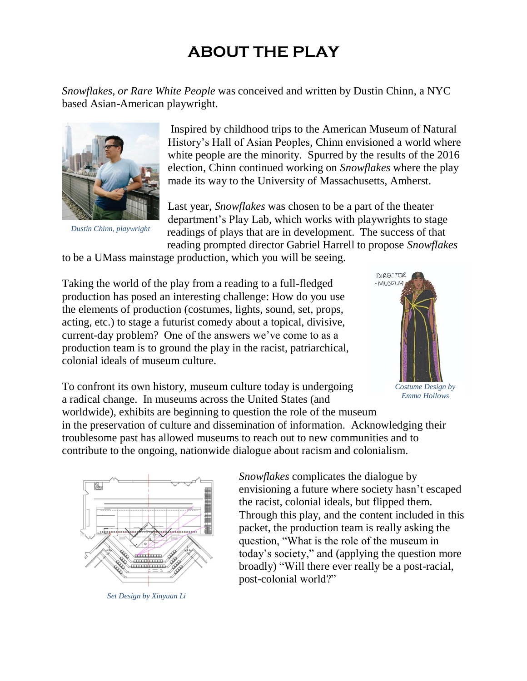## **ABOUT THE PLAY**

*Snowflakes, or Rare White People* was conceived and written by Dustin Chinn, a NYC based Asian-American playwright.



*Dustin Chinn, playwright*

Inspired by childhood trips to the American Museum of Natural History's Hall of Asian Peoples, Chinn envisioned a world where white people are the minority. Spurred by the results of the 2016 election, Chinn continued working on *Snowflakes* where the play made its way to the University of Massachusetts, Amherst.

Last year, *Snowflakes* was chosen to be a part of the theater department's Play Lab, which works with playwrights to stage readings of plays that are in development. The success of that reading prompted director Gabriel Harrell to propose *Snowflakes*

to be a UMass mainstage production, which you will be seeing.

Taking the world of the play from a reading to a full-fledged production has posed an interesting challenge: How do you use the elements of production (costumes, lights, sound, set, props, acting, etc.) to stage a futurist comedy about a topical, divisive, current-day problem? One of the answers we've come to as a production team is to ground the play in the racist, patriarchical, colonial ideals of museum culture.



To confront its own history, museum culture today is undergoing a radical change. In museums across the United States (and worldwide), exhibits are beginning to question the role of the museum

*Emma Hollows*

in the preservation of culture and dissemination of information. Acknowledging their troublesome past has allowed museums to reach out to new communities and to contribute to the ongoing, nationwide dialogue about racism and colonialism.



*Set Design by Xinyuan Li*

*Snowflakes* complicates the dialogue by envisioning a future where society hasn't escaped the racist, colonial ideals, but flipped them. Through this play, and the content included in this packet, the production team is really asking the question, "What is the role of the museum in today's society," and (applying the question more broadly) "Will there ever really be a post-racial, post-colonial world?"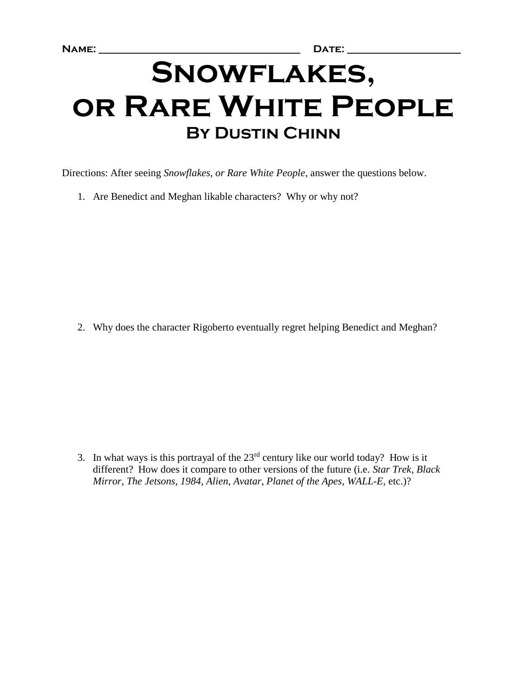# **Snowflakes, or Rare White People By Dustin Chinn**

Directions: After seeing *Snowflakes, or Rare White People*, answer the questions below.

1. Are Benedict and Meghan likable characters? Why or why not?

2. Why does the character Rigoberto eventually regret helping Benedict and Meghan?

3. In what ways is this portrayal of the  $23<sup>rd</sup>$  century like our world today? How is it different? How does it compare to other versions of the future (i.e. *Star Trek*, *Black Mirror*, *The Jetsons*, *1984*, *Alien*, *Avatar*, *Planet of the Apes*, *WALL-E*, etc.)?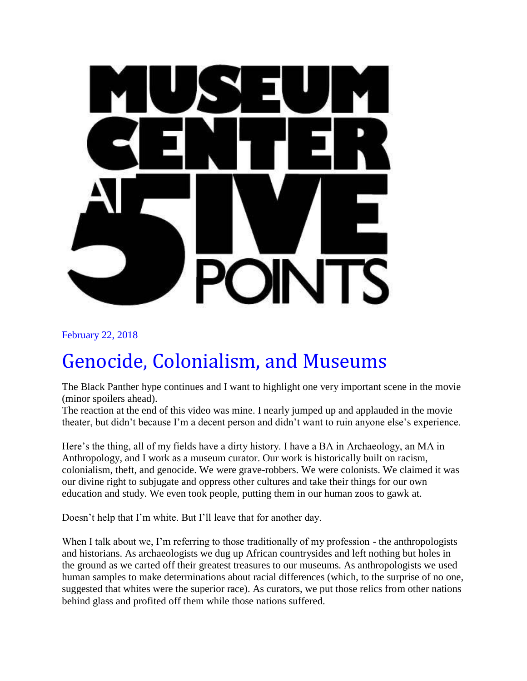

[February 22, 2018](http://www.museumcenter.org/the-curious-curator/2018/2/22/genocide-colonialism-and-museums)

# [Genocide, Colonialism, and Museums](http://www.museumcenter.org/the-curious-curator/2018/2/22/genocide-colonialism-and-museums)

The Black Panther hype continues and I want to highlight one very important scene in the movie (minor spoilers ahead).

The reaction at the end of this video was mine. I nearly jumped up and applauded in the movie theater, but didn't because I'm a decent person and didn't want to ruin anyone else's experience.

Here's the thing, all of my fields have a dirty history. I have a BA in Archaeology, an MA in Anthropology, and I work as a museum curator. Our work is historically built on racism, colonialism, theft, and genocide. We were grave-robbers. We were colonists. We claimed it was our divine right to subjugate and oppress other cultures and take their things for our own education and study. We even took people, putting them in our human zoos to gawk at.

Doesn't help that I'm white. But I'll leave that for another day.

When I talk about we, I'm referring to those traditionally of my profession - the anthropologists and historians. As archaeologists we dug up African countrysides and left nothing but holes in the ground as we carted off their greatest treasures to our museums. As anthropologists we used human samples to make determinations about racial differences (which, to the surprise of no one, suggested that whites were the superior race). As curators, we put those relics from other nations behind glass and profited off them while those nations suffered.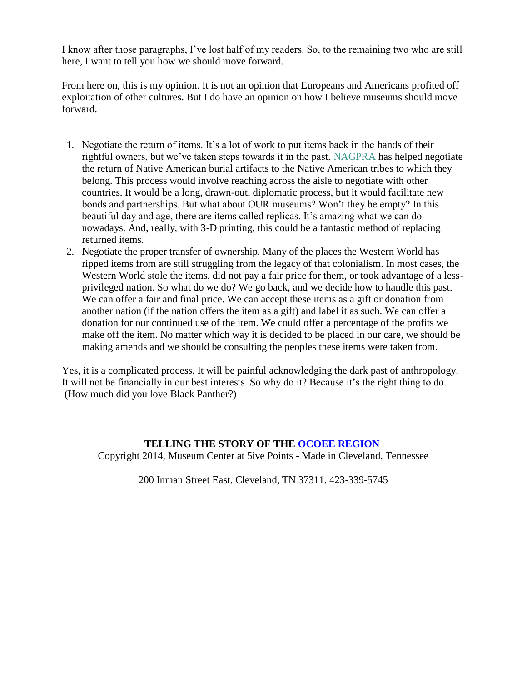I know after those paragraphs, I've lost half of my readers. So, to the remaining two who are still here, I want to tell you how we should move forward.

From here on, this is my opinion. It is not an opinion that Europeans and Americans profited off exploitation of other cultures. But I do have an opinion on how I believe museums should move forward.

- 1. Negotiate the return of items. It's a lot of work to put items back in the hands of their rightful owners, but we've taken steps towards it in the past. [NAGPRA](https://www.nps.gov/nagpra/) has helped negotiate the return of Native American burial artifacts to the Native American tribes to which they belong. This process would involve reaching across the aisle to negotiate with other countries. It would be a long, drawn-out, diplomatic process, but it would facilitate new bonds and partnerships. But what about OUR museums? Won't they be empty? In this beautiful day and age, there are items called replicas. It's amazing what we can do nowadays. And, really, with 3-D printing, this could be a fantastic method of replacing returned items.
- 2. Negotiate the proper transfer of ownership. Many of the places the Western World has ripped items from are still struggling from the legacy of that colonialism. In most cases, the Western World stole the items, did not pay a fair price for them, or took advantage of a lessprivileged nation. So what do we do? We go back, and we decide how to handle this past. We can offer a fair and final price. We can accept these items as a gift or donation from another nation (if the nation offers the item as a gift) and label it as such. We can offer a donation for our continued use of the item. We could offer a percentage of the profits we make off the item. No matter which way it is decided to be placed in our care, we should be making amends and we should be consulting the peoples these items were taken from.

Yes, it is a complicated process. It will be painful acknowledging the dark past of anthropology. It will not be financially in our best interests. So why do it? Because it's the right thing to do. (How much did you love Black Panther?)

### **TELLING THE STORY OF THE [OCOEE REGION](http://www.museumcenter.org/ocoee-region)**

Copyright 2014, Museum Center at 5ive Points - Made in Cleveland, Tennessee

200 Inman Street East. Cleveland, TN 37311. 423-339-5745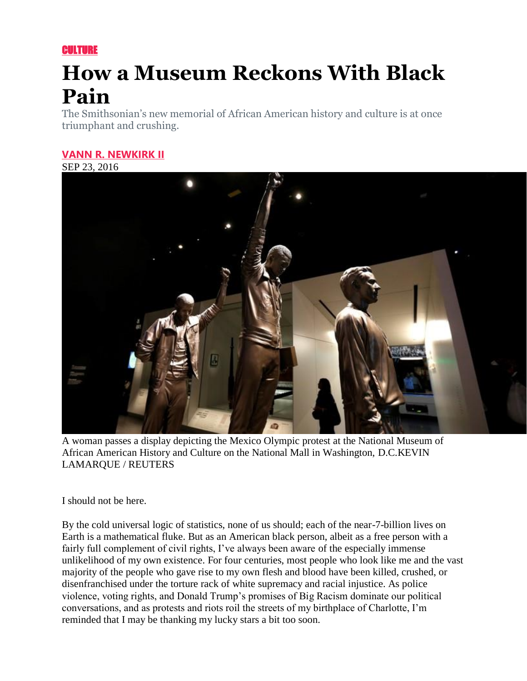**CULTURE** 

# **How a Museum Reckons With Black Pain**

The Smithsonian's new memorial of African American history and culture is at once triumphant and crushing.

### **[VANN R. NEWKIRK II](https://www.theatlantic.com/author/vann-newkirk/)**

SEP 23, 2016



A woman passes a display depicting the Mexico Olympic protest at the National Museum of African American History and Culture on the National Mall in Washington, D.C.KEVIN LAMARQUE / REUTERS

I should not be here.

By the cold universal logic of statistics, none of us should; each of the near-7-billion lives on Earth is a mathematical fluke. But as an American black person, albeit as a free person with a fairly full complement of civil rights, I've always been aware of the especially immense unlikelihood of my own existence. For four centuries, most people who look like me and the vast majority of the people who gave rise to my own flesh and blood have been killed, crushed, or disenfranchised under the torture rack of white supremacy and racial injustice. As police violence, voting rights, and Donald Trump's promises of Big Racism dominate our political conversations, and as protests and riots roil the streets of my birthplace of Charlotte, I'm reminded that I may be thanking my lucky stars a bit too soon.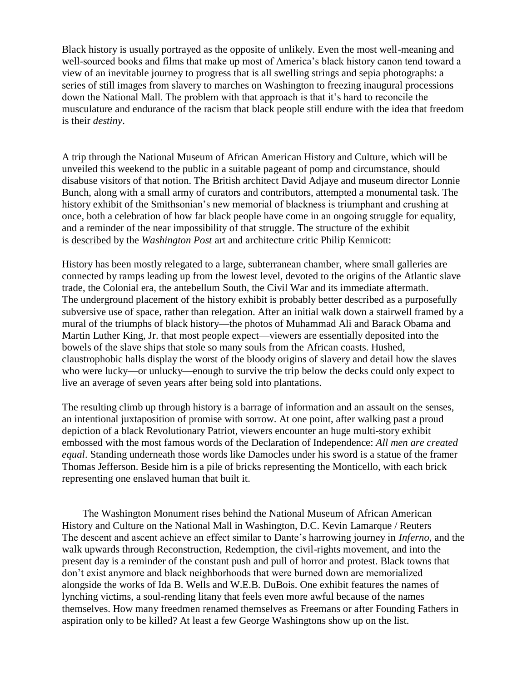Black history is usually portrayed as the opposite of unlikely. Even the most well-meaning and well-sourced books and films that make up most of America's black history canon tend toward a view of an inevitable journey to progress that is all swelling strings and sepia photographs: a series of still images from slavery to marches on Washington to freezing inaugural processions down the National Mall. The problem with that approach is that it's hard to reconcile the musculature and endurance of the racism that black people still endure with the idea that freedom is their *destiny*.

A trip through the National Museum of African American History and Culture, which will be unveiled this weekend to the public in a suitable pageant of pomp and circumstance, should disabuse visitors of that notion. The British architect David Adjaye and museum director Lonnie Bunch, along with a small army of curators and contributors, attempted a monumental task. The history exhibit of the Smithsonian's new memorial of blackness is triumphant and crushing at once, both a celebration of how far black people have come in an ongoing struggle for equality, and a reminder of the near impossibility of that struggle. The structure of the exhibit is [described](https://www.washingtonpost.com/entertainment/museums/the-african-american-museum-tells-powerful-stories--but-in-a-disjointed-way/2016/09/14/b7ba7e4c-7849-11e6-bd86-b7bbd53d2b5d_story.html) by the *Washington Post* art and architecture critic Philip Kennicott:

History has been mostly relegated to a large, subterranean chamber, where small galleries are connected by ramps leading up from the lowest level, devoted to the origins of the Atlantic slave trade, the Colonial era, the antebellum South, the Civil War and its immediate aftermath. The underground placement of the history exhibit is probably better described as a purposefully subversive use of space, rather than relegation. After an initial walk down a stairwell framed by a mural of the triumphs of black history—the photos of Muhammad Ali and Barack Obama and Martin Luther King, Jr. that most people expect—viewers are essentially deposited into the bowels of the slave ships that stole so many souls from the African coasts. Hushed, claustrophobic halls display the worst of the bloody origins of slavery and detail how the slaves who were lucky—or unlucky—enough to survive the trip below the decks could only expect to live an average of seven years after being sold into plantations.

The resulting climb up through history is a barrage of information and an assault on the senses, an intentional juxtaposition of promise with sorrow. At one point, after walking past a proud depiction of a black Revolutionary Patriot, viewers encounter an huge multi-story exhibit embossed with the most famous words of the Declaration of Independence: *All men are created equal*. Standing underneath those words like Damocles under his sword is a statue of the framer Thomas Jefferson. Beside him is a pile of bricks representing the Monticello, with each brick representing one enslaved human that built it.

The Washington Monument rises behind the National Museum of African American History and Culture on the National Mall in Washington, D.C. Kevin Lamarque / Reuters The descent and ascent achieve an effect similar to Dante's harrowing journey in *Inferno*, and the walk upwards through Reconstruction, Redemption, the civil-rights movement, and into the present day is a reminder of the constant push and pull of horror and protest. Black towns that don't exist anymore and black neighborhoods that were burned down are memorialized alongside the works of Ida B. Wells and W.E.B. DuBois. One exhibit features the names of lynching victims, a soul-rending litany that feels even more awful because of the names themselves. How many freedmen renamed themselves as Freemans or after Founding Fathers in aspiration only to be killed? At least a few George Washingtons show up on the list.